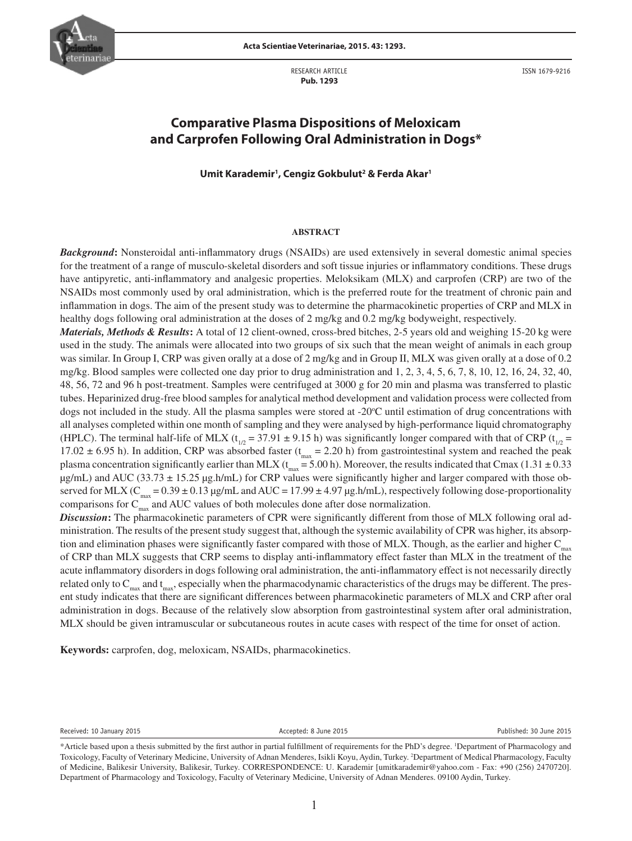

**Acta Scientiae Veterinariae, 2015. 43: 1293.**

RESEARCH ARTICLE  **Pub. 1293**

ISSN 1679-9216

# **Comparative Plasma Dispositions of Meloxicam and Carprofen Following Oral Administration in Dogs\***

## **Umit Karademir1 , Cengiz Gokbulut2 & Ferda Akar1**

#### **ABSTRACT**

*Background***:** Nonsteroidal anti-inflammatory drugs (NSAIDs) are used extensively in several domestic animal species for the treatment of a range of musculo-skeletal disorders and soft tissue injuries or inflammatory conditions. These drugs have antipyretic, anti-inflammatory and analgesic properties. Meloksikam (MLX) and carprofen (CRP) are two of the NSAIDs most commonly used by oral administration, which is the preferred route for the treatment of chronic pain and inflammation in dogs. The aim of the present study was to determine the pharmacokinetic properties of CRP and MLX in healthy dogs following oral administration at the doses of 2 mg/kg and 0.2 mg/kg bodyweight, respectively.

*Materials, Methods & Results***:** A total of 12 client-owned, cross-bred bitches, 2-5 years old and weighing 15-20 kg were used in the study. The animals were allocated into two groups of six such that the mean weight of animals in each group was similar. In Group I, CRP was given orally at a dose of 2 mg/kg and in Group II, MLX was given orally at a dose of 0.2 mg/kg. Blood samples were collected one day prior to drug administration and 1, 2, 3, 4, 5, 6, 7, 8, 10, 12, 16, 24, 32, 40, 48, 56, 72 and 96 h post-treatment. Samples were centrifuged at 3000 g for 20 min and plasma was transferred to plastic tubes. Heparinized drug-free blood samples for analytical method development and validation process were collected from dogs not included in the study. All the plasma samples were stored at -20°C until estimation of drug concentrations with all analyses completed within one month of sampling and they were analysed by high-performance liquid chromatography (HPLC). The terminal half-life of MLX ( $t_{1/2}$  = 37.91  $\pm$  9.15 h) was significantly longer compared with that of CRP ( $t_{1/2}$  = 17.02  $\pm$  6.95 h). In addition, CRP was absorbed faster ( $t_{max}$  = 2.20 h) from gastrointestinal system and reached the peak plasma concentration significantly earlier than MLX ( $t_{\text{max}}$  = 5.00 h). Moreover, the results indicated that Cmax (1.31  $\pm$  0.33  $\mu$ g/mL) and AUC (33.73  $\pm$  15.25  $\mu$ g.h/mL) for CRP values were significantly higher and larger compared with those observed for MLX ( $C_{max} = 0.39 \pm 0.13 \mu g/mL$  and AUC = 17.99  $\pm$  4.97  $\mu g$ .h/mL), respectively following dose-proportionality comparisons for  $C_{\text{max}}$  and AUC values of both molecules done after dose normalization.

*Discussion***:** The pharmacokinetic parameters of CPR were significantly different from those of MLX following oral administration. The results of the present study suggest that, although the systemic availability of CPR was higher, its absorption and elimination phases were significantly faster compared with those of MLX. Though, as the earlier and higher  $C_{\text{max}}$ of CRP than MLX suggests that CRP seems to display anti-inflammatory effect faster than MLX in the treatment of the acute inflammatory disorders in dogs following oral administration, the anti-inflammatory effect is not necessarily directly related only to  $C_{max}$  and  $t_{max}$ , especially when the pharmacodynamic characteristics of the drugs may be different. The present study indicates that there are significant differences between pharmacokinetic parameters of MLX and CRP after oral administration in dogs. Because of the relatively slow absorption from gastrointestinal system after oral administration, MLX should be given intramuscular or subcutaneous routes in acute cases with respect of the time for onset of action.

**Keywords:** carprofen, dog, meloxicam, NSAIDs, pharmacokinetics.

Received: 10 January 2015 Accepted: 8 June 2015 Published: 30 June 2015

<sup>\*</sup>Article based upon a thesis submitted by the first author in partial fulfillment of requirements for the PhD's degree. 1 Department of Pharmacology and Toxicology, Faculty of Veterinary Medicine, University of Adnan Menderes, Isikli Koyu, Aydin, Turkey. 2 Department of Medical Pharmacology, Faculty of Medicine, Balikesir University, Balikesir, Turkey. CORRESPONDENCE: U. Karademir [umitkarademir@yahoo.com - Fax: +90 (256) 2470720]. Department of Pharmacology and Toxicology, Faculty of Veterinary Medicine, University of Adnan Menderes. 09100 Aydin, Turkey.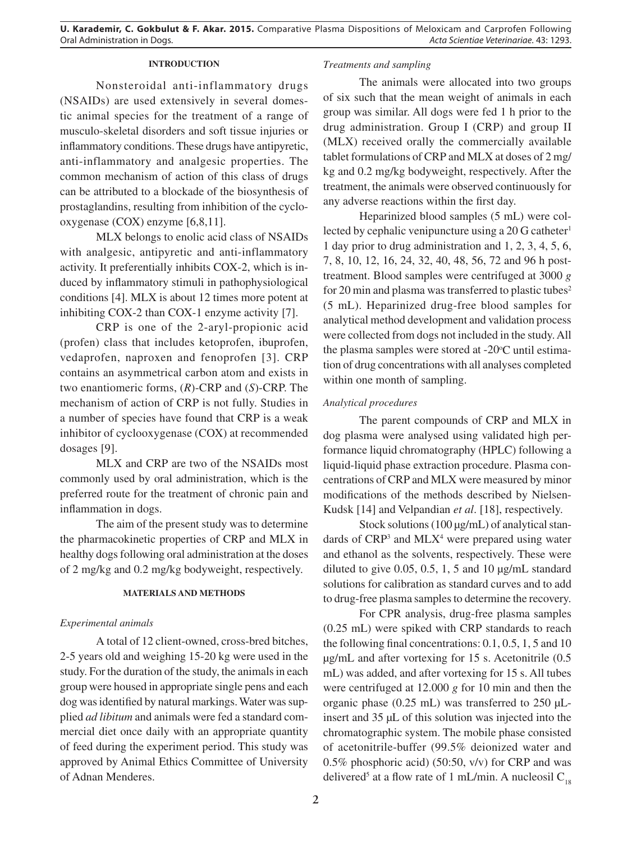## **INTRODUCTION**

Nonsteroidal anti-inflammatory drugs (NSAIDs) are used extensively in several domestic animal species for the treatment of a range of musculo-skeletal disorders and soft tissue injuries or inflammatory conditions. These drugs have antipyretic, anti-inflammatory and analgesic properties. The common mechanism of action of this class of drugs can be attributed to a blockade of the biosynthesis of prostaglandins, resulting from inhibition of the cyclooxygenase (COX) enzyme [6,8,11].

MLX belongs to enolic acid class of NSAIDs with analgesic, antipyretic and anti-inflammatory activity. It preferentially inhibits COX-2, which is induced by inflammatory stimuli in pathophysiological conditions [4]. MLX is about 12 times more potent at inhibiting COX-2 than COX-1 enzyme activity [7].

CRP is one of the 2-aryl-propionic acid (profen) class that includes ketoprofen, ibuprofen, vedaprofen, naproxen and fenoprofen [3]. CRP contains an asymmetrical carbon atom and exists in two enantiomeric forms, (*R*)-CRP and (*S*)-CRP. The mechanism of action of CRP is not fully. Studies in a number of species have found that CRP is a weak inhibitor of cyclooxygenase (COX) at recommended dosages [9].

MLX and CRP are two of the NSAIDs most commonly used by oral administration, which is the preferred route for the treatment of chronic pain and inflammation in dogs.

The aim of the present study was to determine the pharmacokinetic properties of CRP and MLX in healthy dogs following oral administration at the doses of 2 mg/kg and 0.2 mg/kg bodyweight, respectively.

### **MATERIALS AND METHODS**

### *Experimental animals*

A total of 12 client-owned, cross-bred bitches, 2-5 years old and weighing 15-20 kg were used in the study. For the duration of the study, the animals in each group were housed in appropriate single pens and each dog was identified by natural markings. Water was supplied *ad libitum* and animals were fed a standard commercial diet once daily with an appropriate quantity of feed during the experiment period. This study was approved by Animal Ethics Committee of University of Adnan Menderes.

## *Treatments and sampling*

The animals were allocated into two groups of six such that the mean weight of animals in each group was similar. All dogs were fed 1 h prior to the drug administration. Group I (CRP) and group II (MLX) received orally the commercially available tablet formulations of CRP and MLX at doses of 2 mg/ kg and 0.2 mg/kg bodyweight, respectively. After the treatment, the animals were observed continuously for any adverse reactions within the first day.

Heparinized blood samples (5 mL) were collected by cephalic venipuncture using a  $20$  G catheter<sup>1</sup> 1 day prior to drug administration and 1, 2, 3, 4, 5, 6, 7, 8, 10, 12, 16, 24, 32, 40, 48, 56, 72 and 96 h posttreatment. Blood samples were centrifuged at 3000 *g* for 20 min and plasma was transferred to plastic tubes<sup>2</sup> (5 mL). Heparinized drug-free blood samples for analytical method development and validation process were collected from dogs not included in the study. All the plasma samples were stored at -20°C until estimation of drug concentrations with all analyses completed within one month of sampling.

### *Analytical procedures*

The parent compounds of CRP and MLX in dog plasma were analysed using validated high performance liquid chromatography (HPLC) following a liquid-liquid phase extraction procedure. Plasma concentrations of CRP and MLX were measured by minor modifications of the methods described by Nielsen-Kudsk [14] and Velpandian *et al*. [18], respectively.

Stock solutions (100 µg/mL) of analytical standards of  $CRP<sup>3</sup>$  and  $MLX<sup>4</sup>$  were prepared using water and ethanol as the solvents, respectively. These were diluted to give  $0.05$ ,  $0.5$ ,  $1$ ,  $5$  and  $10 \mu g/mL$  standard solutions for calibration as standard curves and to add to drug-free plasma samples to determine the recovery.

For CPR analysis, drug-free plasma samples (0.25 mL) were spiked with CRP standards to reach the following final concentrations: 0.1, 0.5, 1, 5 and 10 µg/mL and after vortexing for 15 s. Acetonitrile (0.5 mL) was added, and after vortexing for 15 s. All tubes were centrifuged at 12.000 *g* for 10 min and then the organic phase  $(0.25 \text{ mL})$  was transferred to  $250 \text{ }\mu\text{L}$ insert and 35 µL of this solution was injected into the chromatographic system. The mobile phase consisted of acetonitrile-buffer (99.5% deionized water and 0.5% phosphoric acid) (50:50, v/v) for CRP and was delivered<sup>5</sup> at a flow rate of 1 mL/min. A nucleosil  $C_{18}$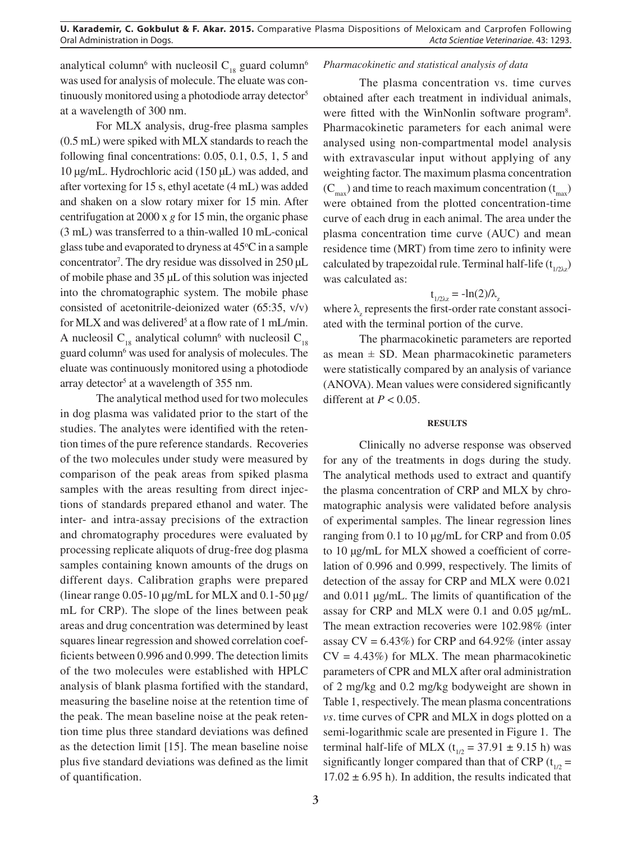analytical column<sup>6</sup> with nucleosil  $C_{18}$  guard column<sup>6</sup> was used for analysis of molecule. The eluate was continuously monitored using a photodiode array detector<sup>5</sup> at a wavelength of 300 nm.

For MLX analysis, drug-free plasma samples (0.5 mL) were spiked with MLX standards to reach the following final concentrations: 0.05, 0.1, 0.5, 1, 5 and 10 µg/mL. Hydrochloric acid (150 µL) was added, and after vortexing for 15 s, ethyl acetate (4 mL) was added and shaken on a slow rotary mixer for 15 min. After centrifugation at 2000 x *g* for 15 min, the organic phase (3 mL) was transferred to a thin-walled 10 mL-conical glass tube and evaporated to dryness at  $45^{\circ}$ C in a sample concentrator<sup>7</sup>. The dry residue was dissolved in  $250 \mu L$ of mobile phase and 35 µL of this solution was injected into the chromatographic system. The mobile phase consisted of acetonitrile-deionized water (65:35, v/v) for MLX and was delivered<sup>5</sup> at a flow rate of 1 mL/min. A nucleosil  $C_{18}$  analytical column<sup>6</sup> with nucleosil  $C_{18}$ guard column<sup>6</sup> was used for analysis of molecules. The eluate was continuously monitored using a photodiode array detector<sup>5</sup> at a wavelength of  $355$  nm.

The analytical method used for two molecules in dog plasma was validated prior to the start of the studies. The analytes were identified with the retention times of the pure reference standards. Recoveries of the two molecules under study were measured by comparison of the peak areas from spiked plasma samples with the areas resulting from direct injections of standards prepared ethanol and water. The inter- and intra-assay precisions of the extraction and chromatography procedures were evaluated by processing replicate aliquots of drug-free dog plasma samples containing known amounts of the drugs on different days. Calibration graphs were prepared (linear range  $0.05$ -10  $\mu$ g/mL for MLX and  $0.1$ -50  $\mu$ g/ mL for CRP). The slope of the lines between peak areas and drug concentration was determined by least squares linear regression and showed correlation coefficients between 0.996 and 0.999. The detection limits of the two molecules were established with HPLC analysis of blank plasma fortified with the standard, measuring the baseline noise at the retention time of the peak. The mean baseline noise at the peak retention time plus three standard deviations was defined as the detection limit [15]. The mean baseline noise plus five standard deviations was defined as the limit of quantification.

#### *Pharmacokinetic and statistical analysis of data*

The plasma concentration vs. time curves obtained after each treatment in individual animals, were fitted with the WinNonlin software program<sup>8</sup>. Pharmacokinetic parameters for each animal were analysed using non-compartmental model analysis with extravascular input without applying of any weighting factor. The maximum plasma concentration  $(C<sub>max</sub>)$  and time to reach maximum concentration  $(t<sub>max</sub>)$ were obtained from the plotted concentration-time curve of each drug in each animal. The area under the plasma concentration time curve (AUC) and mean residence time (MRT) from time zero to infinity were calculated by trapezoidal rule. Terminal half-life  $(t_{1/2\lambda z})$ was calculated as:

# $t_{1/2\lambda z} = -\ln(2)/\lambda_z$

where  $\lambda$ <sub>z</sub> represents the first-order rate constant associated with the terminal portion of the curve.

The pharmacokinetic parameters are reported as mean  $\pm$  SD. Mean pharmacokinetic parameters were statistically compared by an analysis of variance (ANOVA). Mean values were considered significantly different at  $P < 0.05$ .

### **RESULTS**

Clinically no adverse response was observed for any of the treatments in dogs during the study. The analytical methods used to extract and quantify the plasma concentration of CRP and MLX by chromatographic analysis were validated before analysis of experimental samples. The linear regression lines ranging from 0.1 to 10 µg/mL for CRP and from 0.05 to 10 µg/mL for MLX showed a coefficient of correlation of 0.996 and 0.999, respectively. The limits of detection of the assay for CRP and MLX were 0.021 and 0.011 µg/mL. The limits of quantification of the assay for CRP and MLX were 0.1 and 0.05 µg/mL. The mean extraction recoveries were 102.98% (inter assay  $CV = 6.43\%$ ) for CRP and 64.92% (inter assay  $CV = 4.43\%)$  for MLX. The mean pharmacokinetic parameters of CPR and MLX after oral administration of 2 mg/kg and 0.2 mg/kg bodyweight are shown in Table 1, respectively. The mean plasma concentrations *vs*. time curves of CPR and MLX in dogs plotted on a semi-logarithmic scale are presented in Figure 1. The terminal half-life of MLX ( $t_{1/2}$  = 37.91  $\pm$  9.15 h) was significantly longer compared than that of CRP ( $t_{1/2}$  =  $17.02 \pm 6.95$  h). In addition, the results indicated that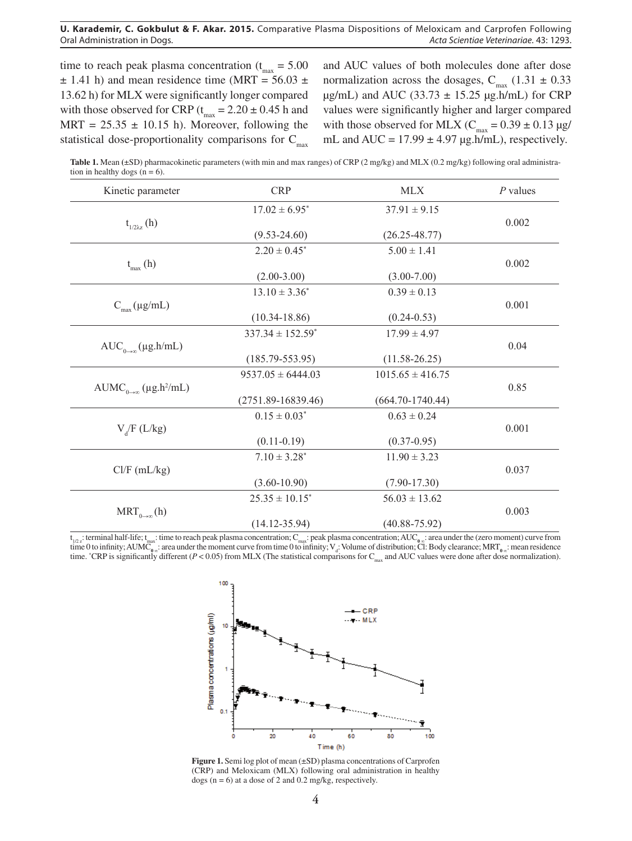#### **U. Karademir, C. Gokbulut & F. Akar. 2015.** Comparative Plasma Dispositions of Meloxicam and Carprofen Following Oral Administration in Dogs. *Acta Scientiae Veterinariae*. 43: 1293.

time to reach peak plasma concentration ( $t_{max} = 5.00$  $\pm$  1.41 h) and mean residence time (MRT = 56.03  $\pm$ 13.62 h) for MLX were significantly longer compared with those observed for CRP ( $t_{max} = 2.20 \pm 0.45$  h and MRT =  $25.35 \pm 10.15$  h). Moreover, following the statistical dose-proportionality comparisons for  $C_{\text{max}}$ 

and AUC values of both molecules done after dose normalization across the dosages,  $C_{max}$  (1.31  $\pm$  0.33  $\mu$ g/mL) and AUC (33.73  $\pm$  15.25  $\mu$ g.h/mL) for CRP values were significantly higher and larger compared with those observed for MLX ( $C_{\text{max}} = 0.39 \pm 0.13 \text{ µg}$ ) mL and  $AUC = 17.99 \pm 4.97 \mu g.h/mL$ , respectively.

**Table 1.** Mean **(**±SD) pharmacokinetic parameters (with min and max ranges) of CRP (2 mg/kg) and MLX (0.2 mg/kg) following oral administration in healthy dogs  $(n = 6)$ .

| Kinetic parameter                         | <b>CRP</b>                       | <b>MLX</b>           | $P$ values |
|-------------------------------------------|----------------------------------|----------------------|------------|
|                                           | $17.02 \pm 6.95^*$               | $37.91 \pm 9.15$     |            |
| $t_{1/2\lambda z}$ (h)                    |                                  |                      | 0.002      |
|                                           | $(9.53 - 24.60)$                 | $(26.25 - 48.77)$    |            |
|                                           | $2.20 \pm 0.45^*$                | $5.00 \pm 1.41$      |            |
| $t_{\text{max}}$ (h)                      |                                  |                      | 0.002      |
|                                           | $(2.00-3.00)$                    | $(3.00 - 7.00)$      |            |
| $C_{\text{max}}(\mu g/mL)$                | $13.10 \pm 3.36^*$               | $0.39 \pm 0.13$      |            |
|                                           |                                  |                      | 0.001      |
|                                           | $(10.34 - 18.86)$                | $(0.24 - 0.53)$      |            |
|                                           | $337.34 \pm 152.59$ <sup>*</sup> | $17.99 \pm 4.97$     |            |
| $AUC_{0\rightarrow\infty}(\mu g.h/mL)$    |                                  |                      | 0.04       |
|                                           | $(185.79 - 553.95)$              | $(11.58 - 26.25)$    |            |
| $AUMC_{0\rightarrow\infty}(\mu g.h^2/mL)$ | $9537.05 \pm 6444.03$            | $1015.65 \pm 416.75$ |            |
|                                           |                                  |                      | 0.85       |
|                                           | $(2751.89 - 16839.46)$           | $(664.70 - 1740.44)$ |            |
|                                           | $0.15 \pm 0.03^*$                | $0.63 \pm 0.24$      |            |
| $V_a/F (L/kg)$                            |                                  |                      | 0.001      |
|                                           | $(0.11-0.19)$                    | $(0.37 - 0.95)$      |            |
| $Cl/F$ (mL/kg)                            | $7.10 \pm 3.28^*$                | $11.90 \pm 3.23$     |            |
|                                           |                                  |                      | 0.037      |
|                                           | $(3.60 - 10.90)$                 | $(7.90 - 17.30)$     |            |
| $MRT_{0\rightarrow\infty}$ (h)            | $25.35 \pm 10.15^*$              | $56.03 \pm 13.62$    |            |
|                                           |                                  |                      | 0.003      |
|                                           | $(14.12 - 35.94)$                | $(40.88 - 75.92)$    |            |

t<sub>1/2∠</sub>: terminal half-life; t<sub>max</sub>: time to reach peak plasma concentration; C<sub>max</sub>: peak plasma concentration; AUC<sub>0∞</sub>: area under the (zero moment) curve from time 0 to infinity; AUMC<sub>0∞</sub>: area under the moment curve from time 0 to infinity; V<sub>d</sub>: Volume of distribution; Cl: Body clearance; MRT<sub>0∞</sub>: mean residence time. <sup>\*</sup>CRP is significantly different (*P* < 0.05) from MLX (The statistical comparisons for C<sub>max</sub> and AUC values were done after dose normalization).



**Figure 1.** Semi log plot of mean (±SD) plasma concentrations of Carprofen (CRP) and Meloxicam (MLX) following oral administration in healthy dogs  $(n = 6)$  at a dose of 2 and 0.2 mg/kg, respectively.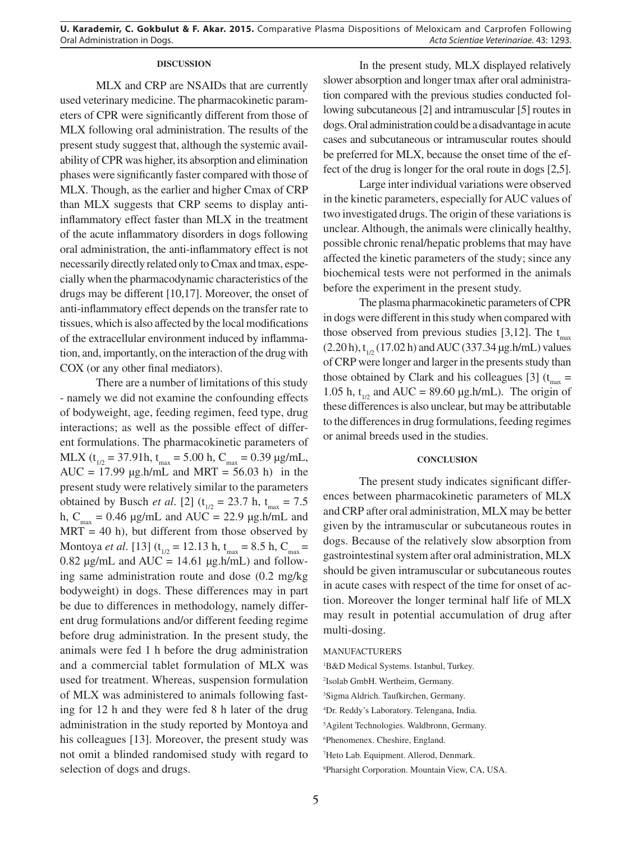## **DISCUSSION**

MLX and CRP are NSAIDs that are currently used veterinary medicine. The pharmacokinetic parameters of CPR were significantly different from those of MLX following oral administration. The results of the present study suggest that, although the systemic availability of CPR was higher, its absorption and elimination phases were significantly faster compared with those of MLX. Though, as the earlier and higher Cmax of CRP than MLX suggests that CRP seems to display antiinflammatory effect faster than MLX in the treatment of the acute inflammatory disorders in dogs following oral administration, the anti-inflammatory effect is not necessarily directly related only to Cmax and tmax, especially when the pharmacodynamic characteristics of the drugs may be different [10,17]. Moreover, the onset of anti-inflammatory effect depends on the transfer rate to tissues, which is also affected by the local modifications of the extracellular environment induced by inflammation, and, importantly, on the interaction of the drug with COX (or any other final mediators).

There are a number of limitations of this study - namely we did not examine the confounding effects of bodyweight, age, feeding regimen, feed type, drug interactions; as well as the possible effect of different formulations. The pharmacokinetic parameters of MLX ( $t_{1/2}$  = 37.91h,  $t_{max}$  = 5.00 h, C<sub>max</sub> = 0.39 µg/mL, AUC = 17.99  $\mu$ g.h/mL and MRT = 56.03 h) in the present study were relatively similar to the parameters obtained by Busch *et al.* [2] ( $t_{1/2} = 23.7$  h,  $t_{\text{max}} = 7.5$ h,  $C_{\text{max}} = 0.46 \text{ µg/mL}$  and  $AUC = 22.9 \text{ µg.h/mL}$  and  $MRT = 40$  h), but different from those observed by Montoya *et al.* [13] ( $t_{1/2} = 12.13$  h,  $t_{max} = 8.5$  h,  $C_{max} =$ 0.82  $\mu$ g/mL and AUC = 14.61  $\mu$ g.h/mL) and following same administration route and dose (0.2 mg/kg bodyweight) in dogs. These differences may in part be due to differences in methodology, namely different drug formulations and/or different feeding regime before drug administration. In the present study, the animals were fed 1 h before the drug administration and a commercial tablet formulation of MLX was used for treatment. Whereas, suspension formulation of MLX was administered to animals following fasting for 12 h and they were fed 8 h later of the drug administration in the study reported by Montoya and his colleagues [13]. Moreover, the present study was not omit a blinded randomised study with regard to selection of dogs and drugs.

In the present study, MLX displayed relatively slower absorption and longer tmax after oral administration compared with the previous studies conducted following subcutaneous [2] and intramuscular [5] routes in dogs. Oral administration could be a disadvantage in acute cases and subcutaneous or intramuscular routes should be preferred for MLX, because the onset time of the effect of the drug is longer for the oral route in dogs [2,5].

Large inter individual variations were observed in the kinetic parameters, especially for AUC values of two investigated drugs. The origin of these variations is unclear. Although, the animals were clinically healthy, possible chronic renal/hepatic problems that may have affected the kinetic parameters of the study; since any biochemical tests were not performed in the animals before the experiment in the present study.

The plasma pharmacokinetic parameters of CPR in dogs were different in this study when compared with those observed from previous studies [3,12]. The  $t_{\text{max}}$  $(2.20 \text{ h}), t_{1/2} (17.02 \text{ h})$  and AUC (337.34 µg.h/mL) values of CRP were longer and larger in the presents study than those obtained by Clark and his colleagues [3] ( $t_{\text{max}}$  = 1.05 h,  $t_{1/2}$  and AUC = 89.60 µg.h/mL). The origin of these differences is also unclear, but may be attributable to the differences in drug formulations, feeding regimes or animal breeds used in the studies.

### **CONCLUSION**

The present study indicates significant differences between pharmacokinetic parameters of MLX and CRP after oral administration, MLX may be better given by the intramuscular or subcutaneous routes in dogs. Because of the relatively slow absorption from gastrointestinal system after oral administration, MLX should be given intramuscular or subcutaneous routes in acute cases with respect of the time for onset of action. Moreover the longer terminal half life of MLX may result in potential accumulation of drug after multi-dosing.

#### MANUFACTURERS

 B&D Medical Systems. Istanbul, Turkey. Isolab GmbH. Wertheim, Germany. Sigma Aldrich. Taufkirchen, Germany. Dr. Reddy's Laboratory. Telengana, India. Agilent Technologies. Waldbronn, Germany. Phenomenex. Cheshire, England. Heto Lab. Equipment. Allerod, Denmark.

8 Pharsight Corporation. Mountain View, CA, USA.